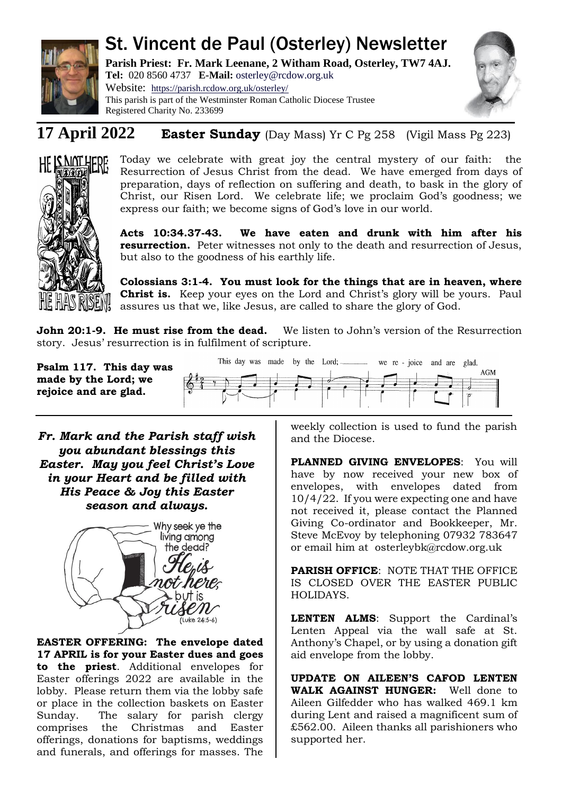

# St. Vincent de Paul (Osterley) Newsletter

**Parish Priest: Fr. Mark Leenane, 2 Witham Road, Osterley, TW7 4AJ. Tel:** 020 8560 4737 **E-Mail:** [osterley@rcdow.org.uk](mailto:osterley@rcdow.org.uk)

Website: <https://parish.rcdow.org.uk/osterley/> This parish is part of the Westminster Roman Catholic Diocese Trustee Registered Charity No. 233699



# **17 April 2022 Easter Sunday** (Day Mass) Yr C Pg 258 (Vigil Mass Pg 223)



Today we celebrate with great joy the central mystery of our faith: the Resurrection of Jesus Christ from the dead. We have emerged from days of preparation, days of reflection on suffering and death, to bask in the glory of Christ, our Risen Lord. We celebrate life; we proclaim God's goodness; we express our faith; we become signs of God's love in our world.

**Acts 10:34.37-43. We have eaten and drunk with him after his resurrection.** Peter witnesses not only to the death and resurrection of Jesus, but also to the goodness of his earthly life.

**Colossians 3:1-4. You must look for the things that are in heaven, where Christ is.** Keep your eyes on the Lord and Christ's glory will be yours. Paul assures us that we, like Jesus, are called to share the glory of God.

**John 20:1-9. He must rise from the dead.** We listen to John's version of the Resurrection story. Jesus' resurrection is in fulfilment of scripture.

**Psalm 117. This day was made by the Lord; we rejoice and are glad.**



*Fr. Mark and the Parish staff wish you abundant blessings this Easter. May you feel Christ's Love in your Heart and be filled with His Peace & Joy this Easter season and always.*



**EASTER OFFERING: The envelope dated 17 APRIL is for your Easter dues and goes to the priest**. Additional envelopes for Easter offerings 2022 are available in the lobby. Please return them via the lobby safe or place in the collection baskets on Easter Sunday. The salary for parish clergy comprises the Christmas and Easter offerings, donations for baptisms, weddings and funerals, and offerings for masses. The weekly collection is used to fund the parish and the Diocese.

**PLANNED GIVING ENVELOPES**: You will have by now received your new box of envelopes, with envelopes dated from 10/4/22. If you were expecting one and have not received it, please contact the Planned Giving Co-ordinator and Bookkeeper, Mr. Steve McEvoy by telephoning 07932 783647 or email him at [osterleybk@rcdow.org.uk](mailto:osterleybk@rcdow.org.uk) 

**PARISH OFFICE: NOTE THAT THE OFFICE** IS CLOSED OVER THE EASTER PUBLIC HOLIDAYS.

**LENTEN ALMS**: Support the Cardinal's Lenten Appeal via the wall safe at St. Anthony's Chapel, or by using a donation gift aid envelope from the lobby.

**UPDATE ON AILEEN'S CAFOD LENTEN WALK AGAINST HUNGER:** Well done to Aileen Gilfedder who has walked 469.1 km during Lent and raised a magnificent sum of £562.00. Aileen thanks all parishioners who supported her.